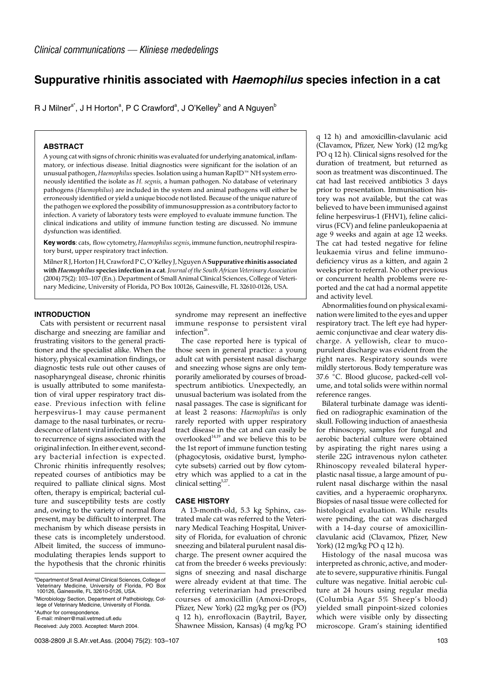# **Suppurative rhinitis associated with Haemophilus species infection in a cat**

R J Milner $\text{\tiny a}^{\text{\tiny a}}$ , J H Horton $\text{\tiny a}^{\text{\tiny a}}$ , P C Crawford $\text{\tiny a}^{\text{\tiny a}}$ , J O'Kelley $\text{\tiny b}$  and A Nguyen $\text{\tiny b}$ 

## **ABSTRACT**

A young cat with signs of chronic rhinitis was evaluated for underlying anatomical, inflammatory, or infectious disease. Initial diagnostics were significant for the isolation of an unusual pathogen, *Haemophilus* species. Isolation using a human RapID™ NH system erroneously identified the isolate as *H. segnis,* a human pathogen. No database of veterinary pathogens (*Haemophilus*) are included in the system and animal pathogens will either be erroneously identified or yield a unique biocode not listed. Because of the unique nature of the pathogen we explored the possibility of immunosuppression as a contributory factor to infection. A variety of laboratory tests were employed to evaluate immune function. The clinical indications and utility of immune function testing are discussed. No immune dysfunction was identified.

**Key words**: cats, flow cytometry, *Haemophilus segnis*, immune function, neutrophil respiratory burst, upper respiratory tract infection.

Milner R J, Horton J H, Crawford P C, O'Kelley J, Nguyen A**Suppurative rhinitis associated with** *Haemophilus* **species infection in a cat**.*Journal of the South African Veterinary Association* (2004) 75(2): 103–107 (En.). Department of Small Animal Clinical Sciences, College of Veterinary Medicine, University of Florida, PO Box 100126, Gainesville, FL 32610-0126, USA.

## **INTRODUCTION**

Cats with persistent or recurrent nasal discharge and sneezing are familiar and frustrating visitors to the general practitioner and the specialist alike. When the history, physical examination findings, or diagnostic tests rule out other causes of nasopharyngeal disease, chronic rhinitis is usually attributed to some manifestation of viral upper respiratory tract disease. Previous infection with feline herpesvirus-1 may cause permanent damage to the nasal turbinates, or recrudescence of latent viral infection may lead to recurrence of signs associated with the original infection. In either event, secondary bacterial infection is expected. Chronic rhinitis infrequently resolves; repeated courses of antibiotics may be required to palliate clinical signs. Most often, therapy is empirical; bacterial culture and susceptibility tests are costly and, owing to the variety of normal flora present, may be difficult to interpret. The mechanism by which disease persists in these cats is incompletely understood. Albeit limited, the success of immunomodulating therapies lends support to the hypothesis that the chronic rhinitis

syndrome may represent an ineffective immune response to persistent viral infection $26$ .

The case reported here is typical of those seen in general practice: a young adult cat with persistent nasal discharge and sneezing whose signs are only temporarily ameliorated by courses of broadspectrum antibiotics. Unexpectedly, an unusual bacterium was isolated from the nasal passages. The case is significant for at least 2 reasons: *Haemophilus* is only rarely reported with upper respiratory tract disease in the cat and can easily be overlooked $14,19$  and we believe this to be the 1st report of immune function testing (phagocytosis, oxidative burst, lymphocyte subsets) carried out by flow cytometry which was applied to a cat in the clinical setting<sup>5,27</sup>.

#### **CASE HISTORY**

A 13-month-old, 5.3 kg Sphinx, castrated male cat was referred to the Veterinary Medical Teaching Hospital, University of Florida, for evaluation of chronic sneezing and bilateral purulent nasal discharge. The present owner acquired the cat from the breeder 6 weeks previously: signs of sneezing and nasal discharge were already evident at that time. The referring veterinarian had prescribed courses of amoxicillin (Amoxi-Drops, Pfizer, New York) (22 mg/kg per os (PO) q 12 h), enrofloxacin (Baytril, Bayer, Shawnee Mission, Kansas) (4 mg/kg PO q 12 h) and amoxicillin-clavulanic acid (Clavamox, Pfizer, New York) (12 mg/kg PO q 12 h). Clinical signs resolved for the duration of treatment, but returned as soon as treatment was discontinued. The cat had last received antibiotics 3 days prior to presentation. Immunisation history was not available, but the cat was believed to have been immunised against feline herpesvirus-1 (FHV1), feline calicivirus ( $FCV$ ) and feline panleukopaenia at age 9 weeks and again at age 12 weeks. The cat had tested negative for feline leukaemia virus and feline immunodeficiency virus as a kitten, and again 2 weeks prior to referral. No other previous or concurrent health problems were reported and the cat had a normal appetite and activity level.

Abnormalities found on physical examination were limited to the eyes and upper respiratory tract. The left eye had hyperaemic conjunctivae and clear watery discharge. A yellowish, clear to mucopurulent discharge was evident from the right nares. Respiratory sounds were mildly stertorous. Body temperature was 37.6 °C. Blood glucose, packed-cell volume, and total solids were within normal reference ranges.

Bilateral turbinate damage was identified on radiographic examination of the skull. Following induction of anaesthesia for rhinoscopy, samples for fungal and aerobic bacterial culture were obtained by aspirating the right nares using a sterile 22G intravenous nylon catheter. Rhinoscopy revealed bilateral hyperplastic nasal tissue, a large amount of purulent nasal discharge within the nasal cavities, and a hyperaemic oropharynx. Biopsies of nasal tissue were collected for histological evaluation. While results were pending, the cat was discharged with a 14-day course of amoxicillinclavulanic acid (Clavamox, Pfizer, New York) (12 mg/kg PO q 12 h).

Histology of the nasal mucosa was interpreted as chronic, active, and moderate to severe, suppurative rhinitis. Fungal culture was negative. Initial aerobic culture at 24 hours using regular media (Columbia Agar 5% Sheep's blood) yielded small pinpoint-sized colonies which were visible only by dissecting microscope. Gram's staining identified

a Department of Small Animal Clinical Sciences, College of Veterinary Medicine, University of Florida, PO Box 100126, Gainesville, FL 32610-0126, USA.

b Microbiology Section, Department of Pathobiology, Col-lege of Veterinary Medicine, University of Florida.

<sup>\*</sup>Author for correspondence. E-mail: milnerr@mail.vetmed.ufl.edu

Received: July 2003. Accepted: March 2004.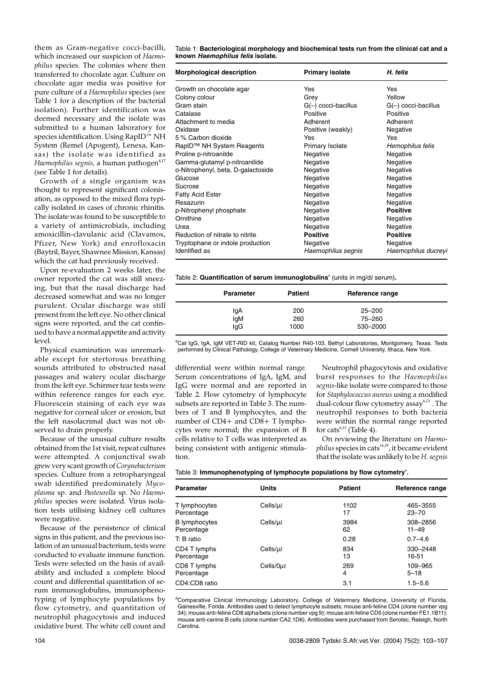them as Gram-negative cocci-bacilli, which increased our suspicion of *Haemophilus* species. The colonies where then transferred to chocolate agar. Culture on chocolate agar media was positive for pure culture of a *Haemophilus* species (see Table 1 for a description of the bacterial isolation). Further identification was deemed necessary and the isolate was submitted to a human laboratory for species identification. Using RapID<sup>™</sup> NH System (Remel (Apogent), Lenexa, Kansas) the isolate was identified as *Haemophilus segnis,* a human pathogen<sup>4,17</sup> (see Table 1 for details).

Growth of a single organism was thought to represent significant colonisation, as opposed to the mixed flora typically isolated in cases of chronic rhinitis. The isolate was found to be susceptible to a variety of antimicrobials, including amoxicillin-clavulanic acid (Clavamox, Pfizer, New York) and enrofloxacin (Baytril, Bayer, Shawnee Mission, Kansas) which the cat had previously received.

Upon re-evaluation 2 weeks later, the owner reported the cat was still sneezing, but that the nasal discharge had decreased somewhat and was no longer purulent. Ocular discharge was still present from the left eye. No other clinical signs were reported, and the cat continued to have a normal appetite and activity level.

Physical examination was unremarkable except for stertorous breathing sounds attributed to obstructed nasal passages and watery ocular discharge from the left eye. Schirmer tear tests were within reference ranges for each eye. Fluorescein staining of each eye was negative for corneal ulcer or erosion, but the left nasolacrimal duct was not observed to drain properly.

Because of the unusual culture results obtained from the 1st visit, repeat cultures were attempted. A conjunctival swab grew very scant growth of*Corynebacterium* species. Culture from a retropharyngeal swab identified predominately *Mycoplasma* sp. and *Pasteurella* sp. No *Haemophilus* species were isolated. Virus isolation tests utilising kidney cell cultures were negative.

Because of the persistence of clinical signs in this patient, and the previous isolation of an unusual bacterium, tests were conducted to evaluate immune function. Tests were selected on the basis of availability and included a complete blood count and differential quantitation of serum immunoglobulins, immunophenotyping of lymphocyte populations by flow cytometry, and quantitation of neutrophil phagocytosis and induced oxidative burst. The white cell count and

Table 1: **Bacteriological morphology and biochemical tests run from the clinical cat and a known Haemophilus felis isolate.**

| <b>Morphological description</b>   | <b>Primary isolate</b> | H. felis              |
|------------------------------------|------------------------|-----------------------|
| Growth on chocolate agar           | Yes                    | Yes                   |
| Colony colour                      | Grey                   | Yellow                |
| Gram stain                         | $G(-)$ cocci-bacillus  | $G(-)$ cocci-bacillus |
| Catalase                           | Positive               | Positive              |
| Attachment to media                | Adherent               | Adherent              |
| Oxidase                            | Positive (weakly)      | Negative              |
| 5 % Carbon dioxide                 | Yes                    | Yes                   |
| RapID™ NH System Reagents          | <b>Primary Isolate</b> | Hemophilus felis      |
| Proline p-nitroanilde              | Negative               | Negative              |
| Gamma-glutamyl p-nitroanilide      | Negative               | Negative              |
| o-Nitrophenyl, beta, D-galactoside | Negative               | Negative              |
| Glucose                            | Negative               | Negative              |
| Sucrose                            | Negative               | Negative              |
| <b>Fatty Acid Ester</b>            | Negative               | Negative              |
| Resazurin                          | Negative               | Negative              |
| p-Nitrophenyl phosphate            | Negative               | <b>Positive</b>       |
| Ornithine                          | Negative               | Negative              |
| Urea                               | Negative               | Negative              |
| Reduction of nitrate to nitrite    | <b>Positive</b>        | <b>Positive</b>       |
| Tryptophane or indole production   | Negative               | Negative              |
| Identified as                      | Haemophilus segnis     | Haemophilus ducreyi   |

Table 2: **Quantification of serum immunoglobulins**<sup>a</sup> (units in mg/dl serum).

| <b>Parameter</b> | <b>Patient</b> | Reference range |  |
|------------------|----------------|-----------------|--|
| lgA              | 200            | $25 - 200$      |  |
| lgM              | 260            | 75-260          |  |
| lgG              | 1000           | 530-2000        |  |

acat IgG, IgA, IgM VET-RID kit, Catalog Number R40-103, Bethyl Laboratories, Montgomery, Texas. Tests performed by Clinical Pathology, College of Veterinary Medicine, Cornell University, Ithaca, New York.

differential were within normal range. Serum concentrations of IgA, IgM, and IgG were normal and are reported in Table 2. Flow cytometry of lymphocyte subsets are reported in Table 3. The numbers of T and B lymphocytes, and the number of CD4+ and CD8+ T lymphocytes were normal; the expansion of B cells relative to T cells was interpreted as being consistent with antigenic stimulation.

Neutrophil phagocytosis and oxidative burst responses to the *Haemophilus segnis-*like isolate were compared to those for *Staphylococcus aureus* using a modified dual-colour flow cytometry assay<sup>6,13</sup>. The neutrophil responses to both bacteria were within the normal range reported for cats $6,13$  (Table 4).

On reviewing the literature on *Haemophilus* species in cats<sup>14,19</sup>, it became evident that the isolate was unlikely to be *H. segnis*

Table 3: Immunophenotyping of lymphocyte populations by flow cytometry<sup>a</sup>.

| <b>Parameter</b>     | Units             | <b>Patient</b> | Reference range |
|----------------------|-------------------|----------------|-----------------|
| T lymphocytes        | Cells/ $\mu \ell$ | 1102           | 465-3555        |
| Percentage           |                   | 17             | $23 - 70$       |
| <b>B</b> lymphocytes | Cells/ $\mu \ell$ | 3984           | 308-2856        |
| Percentage           |                   | 62             | $11 - 49$       |
| T: B ratio           |                   | 0.28           | $0.7 - 4.6$     |
| CD4 T lymphs         | Cells/ $\mu \ell$ | 834            | 330-2448        |
| Percentage           |                   | 13             | 16-51           |
| CD8 T lymphs         | Cells/0 $\mu$     | 269            | 109-965         |
| Percentage           |                   | 4              | $5 - 18$        |
| CD4:CD8 ratio        |                   | 3.1            | $1.5 - 5.6$     |

<sup>a</sup>Comparative Clinical Immunology Laboratory, College of Veterinary Medicine, University of Florida, Gainesville, Forida. Antibodies used to detect lymphocyte subsets; mouse anti-feline CD4 (clone number vpg 34); mouse anti-feline CD8 alpha/beta (clone number vpg 9); mouse anti-feline CD5 (clone number FE1.1B11); mouse anti-canine B cells (clone number CA2.1D6). Antibodies were purchased from Serotec, Raleigh, North **Carolina**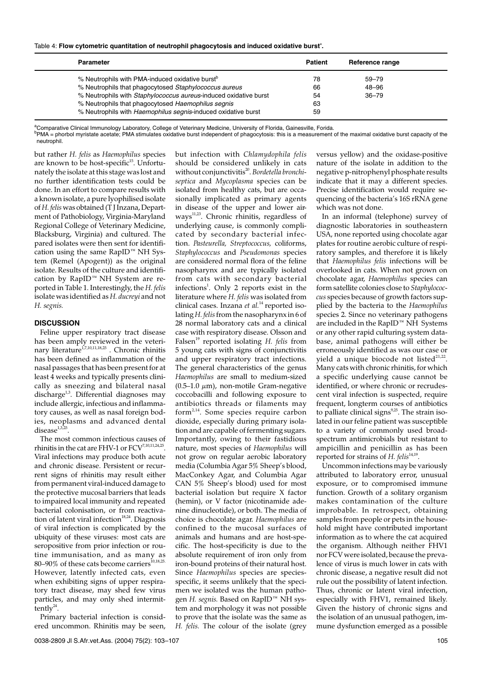| <b>Parameter</b>                                                 | <b>Patient</b> | Reference range |  |
|------------------------------------------------------------------|----------------|-----------------|--|
| % Neutrophils with PMA-induced oxidative burst <sup>b</sup>      | 78             | 59-79           |  |
| % Neutrophils that phagocytosed Staphylococcus aureus            | 66             | $48 - 96$       |  |
| % Neutrophils with Staphylococcus aureus-induced oxidative burst | 54             | $36 - 79$       |  |
| % Neutrophils that phagocytosed Haemophilus segnis               | 63             |                 |  |
| % Neutrophils with Haemophilus segnis-induced oxidative burst    | 59             |                 |  |

<sup>a</sup>Comparative Clinical Immunology Laboratory, College of Veterinary Medicine, University of Florida, Gainesville, Forida.<br><sup>b</sup>PMA = phorbol myristate acetate; PMA stimulates oxidative burst independent of phagocytosis: thi neutrophil.

but rather *H. felis* as *Haemophilus* species are known to be host-specific<sup>15</sup>. Unfortunately the isolate at this stage was lost and no further identification tests could be done. In an effort to compare results with a known isolate, a pure lyophilised isolate of *H. felis* was obtained (T J Inzana, Department of Pathobiology, Virginia-Maryland Regional College of Veterinary Medicine, Blacksburg, Virginia) and cultured. The pared isolates were then sent for identification using the same RapID™ NH System (Remel (Apogent)) as the original isolate. Results of the culture and identification by RapID™ NH System are reported in Table 1. Interestingly, the *H. felis* isolate was identified as *H. ducreyi* and not *H. segnis.*

### **DISCUSSION**

Feline upper respiratory tract disease has been amply reviewed in the veterinary literature<sup>1,7,10,11,18,25</sup>. Chronic rhinitis has been defined as inflammation of the nasal passages that has been present for at least 4 weeks and typically presents clinically as sneezing and bilateral nasal discharge<sup>1,3</sup>. Differential diagnoses may include allergic, infectious and inflammatory causes, as well as nasal foreign bodies, neoplasms and advanced dental disease $1,3,25$ .

The most common infectious causes of rhinitis in the cat are FHV-1 or FCV<sup>7,10,11,24,25</sup> Viral infections may produce both acute and chronic disease. Persistent or recurrent signs of rhinitis may result either from permanent viral-induced damage to the protective mucosal barriers that leads to impaired local immunity and repeated bacterial colonisation, or from reactivation of latent viral infection<sup>18,24</sup>. Diagnosis of viral infection is complicated by the ubiquity of these viruses: most cats are seropositive from prior infection or routine immunisation, and as many as 80–90% of these cats become carriers $^{10,18,25.}$ However, latently infected cats, even when exhibiting signs of upper respiratory tract disease, may shed few virus particles, and may only shed intermittently<sup>24</sup>.

Primary bacterial infection is considered uncommon. Rhinitis may be seen, but infection with *Chlamydophila felis* should be considered unlikely in cats without conjunctivitis<sup>20</sup>. Bordetella bronchi*septica* and *Mycoplasma* species can be isolated from healthy cats, but are occasionally implicated as primary agents in disease of the upper and lower airways<sup>11,23</sup>. Chronic rhinitis, regardless of underlying cause, is commonly complicated by secondary bacterial infection. *Pasteurella, Streptococcus,* coliforms, *Staphylococcus* and *Pseudomonas* species are considered normal flora of the feline nasopharynx and are typically isolated from cats with secondary bacterial infections $^1$ . Only 2 reports exist in the literature where *H. felis* was isolated from clinical cases. Inzana *et al.*<sup>14</sup> reported isolating *H. felis*from the nasopharynx in 6 of 28 normal laboratory cats and a clinical case with respiratory disease. Olsson and Falsen<sup>19</sup> reported isolating *H. felis* from 5 young cats with signs of conjunctivitis and upper respiratory tract infections. The general characteristics of the genus *Haemophilus* are small to medium-sized  $(0.5-1.0 \mu m)$ , non-motile Gram-negative coccobacilli and following exposure to antibiotics threads or filaments may form2,14. Some species require carbon dioxide, especially during primary isolation and are capable of fermenting sugars. Importantly, owing to their fastidious nature, most species of *Haemophilus* will not grow on regular aerobic laboratory media (Columbia Agar 5% Sheep's blood, MacConkey Agar, and Columbia Agar CAN 5% Sheep's blood) used for most bacterial isolation but require X factor (hemin), or V factor (nicotinamide adenine dinucleotide), or both. The media of choice is chocolate agar. *Haemophilus* are confined to the mucosal surfaces of animals and humans and are host-specific. The host-specificity is due to the absolute requirement of iron only from iron-bound proteins of their natural host. Since *Haemophilus* species are speciesspecific, it seems unlikely that the specimen we isolated was the human pathogen *H. segnis.* Based on RapID™ NH system and morphology it was not possible to prove that the isolate was the same as *H. felis.* The colour of the isolate (grey versus yellow) and the oxidase-positive nature of the isolate in addition to the negative p-nitrophenyl phosphate results indicate that it may a different species. Precise identification would require sequencing of the bacteria's 16S rRNA gene which was not done.

In an informal (telephone) survey of diagnostic laboratories in southeastern USA, none reported using chocolate agar plates for routine aerobic culture of respiratory samples, and therefore it is likely that *Haemophilus felis* infections will be overlooked in cats. When not grown on chocolate agar, *Haemophilus* species can form satellite colonies close to *Staphylococcus* species because of growth factors supplied by the bacteria to the *Haemophilus* species 2. Since no veterinary pathogens are included in the RapID<sup>™</sup> NH Systems or any other rapid culturing system database, animal pathogens will either be erroneously identified as was our case or yield a unique biocode not listed $21,22$ . Many cats with chronic rhinitis, for which a specific underlying cause cannot be identified, or where chronic or recrudescent viral infection is suspected, require frequent, longterm courses of antibiotics to palliate clinical signs $9,25$ . The strain isolated in our feline patient was susceptible to a variety of commonly used broadspectrum antimicrobials but resistant to ampicillin and penicillin as has been reported for strains of *H. felis*<sup>14,19</sup>.

Uncommon infections may be variously attributed to laboratory error, unusual exposure, or to compromised immune function. Growth of a solitary organism makes contamination of the culture improbable. In retrospect, obtaining samples from people or pets in the household might have contributed important information as to where the cat acquired the organism. Although neither FHV1 nor FCV were isolated, because the prevalence of virus is much lower in cats with chronic disease, a negative result did not rule out the possibility of latent infection. Thus, chronic or latent viral infection, especially with FHV1, remained likely. Given the history of chronic signs and the isolation of an unusual pathogen, immune dysfunction emerged as a possible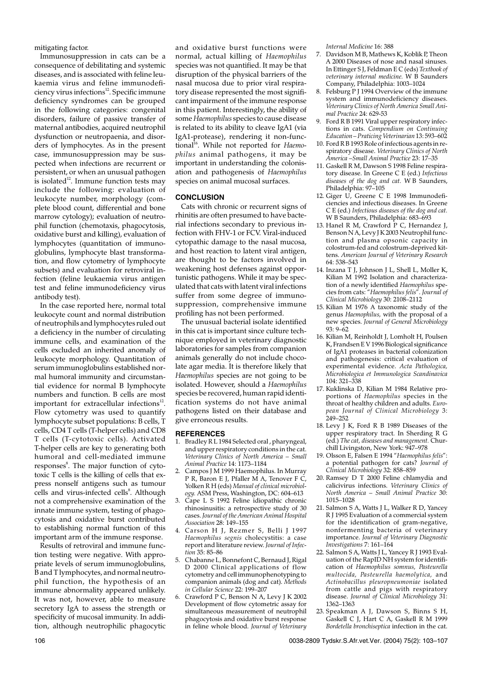mitigating factor.

Immunosuppression in cats can be a consequence of debilitating and systemic diseases, and is associated with feline leukaemia virus and feline immunodeficiency virus infections<sup>12</sup>. Specific immune deficiency syndromes can be grouped in the following categories: congenital disorders, failure of passive transfer of maternal antibodies, acquired neutrophil dysfunction or neutropaenia, and disorders of lymphocytes. As in the present case, immunosuppression may be suspected when infections are recurrent or persistent, or when an unusual pathogen is isolated<sup>12</sup>. Immune function tests may include the following: evaluation of leukocyte number, morphology (complete blood count, differential and bone marrow cytology); evaluation of neutrophil function (chemotaxis, phagocytosis, oxidative burst and killing), evaluation of lymphocytes (quantitation of immunoglobulins, lymphocyte blast transformation, and flow cytometry of lymphocyte subsets) and evaluation for retroviral infection (feline leukaemia virus antigen test and feline immunodeficiency virus antibody test).

In the case reported here, normal total leukocyte count and normal distribution of neutrophils and lymphocytes ruled out a deficiency in the number of circulating immune cells, and examination of the cells excluded an inherited anomaly of leukocyte morphology. Quantitation of serum immunoglobulins established normal humoral immunity and circumstantial evidence for normal B lymphocyte numbers and function. B cells are most important for extracellular infections $12$ . Flow cytometry was used to quantify lymphocyte subset populations: B cells, T cells, CD4 T cells (T-helper cells) and CD8 T cells (T-cytotoxic cells). Activated T-helper cells are key to generating both humoral and cell-mediated immune responses<sup>8</sup>. The major function of cytotoxic T cells is the killing of cells that express nonself antigens such as tumour cells and virus-infected cells<sup>8</sup>. Although not a comprehensive examination of the innate immune system, testing of phagocytosis and oxidative burst contributed to establishing normal function of this important arm of the immune response.

Results of retroviral and immune function testing were negative. With appropriate levels of serum immunoglobulins, B and T lymphocytes, and normal neutrophil function, the hypothesis of an immune abnormality appeared unlikely. It was not, however, able to measure secretory IgA to assess the strength or specificity of mucosal immunity. In addition, although neutrophilic phagocytic and oxidative burst functions were normal, actual killing of *Haemophilus* species was not quantified. It may be that disruption of the physical barriers of the nasal mucosa due to prior viral respiratory disease represented the most significant impairment of the immune response in this patient. Interestingly, the ability of some *Haemophilus* species to cause disease is related to its ability to cleave IgA1 (via IgA1-protease), rendering it non-functional<sup>16</sup>. While not reported for *Haemophilus* animal pathogens, it may be important in understanding the colonisation and pathogenesis of *Haemophilus* species on animal mucosal surfaces.

#### **CONCLUSION**

Cats with chronic or recurrent signs of rhinitis are often presumed to have bacterial infections secondary to previous infection with FHV-1 or FCV. Viral-induced cytopathic damage to the nasal mucosa, and host reaction to latent viral antigen, are thought to be factors involved in weakening host defenses against opportunistic pathogens. While it may be speculated that cats with latent viral infections suffer from some degree of immunosuppression, comprehensive immune profiling has not been performed.

The unusual bacterial isolate identified in this cat is important since culture technique employed in veterinary diagnostic laboratories for samples from companion animals generally do not include chocolate agar media. It is therefore likely that *Haemophilus* species are not going to be isolated. However, should a *Haemophilus* species be recovered, human rapid identification systems do not have animal pathogens listed on their database and give erroneous results.

#### **REFERENCES**

- 1. Bradley R L 1984 Selected oral , pharyngeal, and upper respiratory conditions in the cat. *Veterinary Clinics of North America – Small Animal Practice* 14: 1173–1184
- 2. Campos J M 1999 Haemophilus. In Murray P R, Baron E J, Pfaller M A, Tenover F C, Yolken R H (eds) *Manual of clinical microbiology.* ASM Press, Washington, DC: 604–613
- 3. Cape L S 1992 Feline idiopathic chronic rhinosinusitis: a retrospective study of 30 cases. *Journal of the American Animal Hospital Association* 28: 149–155
- 4. Carson H J, Rezmer S, Belli J 1997 *Haemophilus segnis* cholecystitis: a case report and literature review. *Journal of Infection* 35: 85–86
- 5. Chabanne L, Bonnefont C, Bernaud J, Rigal D 2000 Clinical applications of flow cytometry and cell immunophenotyping to companion animals (dog and cat). *Methods in Cellular Science* 22: 199–207
- 6. Crawford P C, Benson N A, Levy J K 2002 Development of flow cytometric assay for simultaneous measurement of neutrophil phagocytosis and oxidative burst response in feline whole blood. *Journal of Veterinary*

*Internal Medicine* 16: 388

- 7. Davidson M B, Mathews K, Koblik P, Theon A 2000 Diseases of nose and nasal sinuses. In Ettinger S J, Feldman E C (eds) *Textbook of veterinary internal medicine.* W B Saunders Company, Philadelphia: 1003–1024
- 8. Felsburg P J 1994 Overview of the immune system and immunodeficiency diseases. *Veterinary Clinics of North America Small Animal Practice* 24: 629-53
- 9. Ford R B 1991 Viral upper respiratory infections in cats. *Compendium on Continuing Education – Praticing Veterinarian* 13: 593–602
- 10. Ford R B 1993 Role of infectious agents in respiratory disease. *Veterinary Clinics of North America –Small Animal Practice* 23: 17–35
- 11. Gaskell R M, Dawson S 1998 Feline respiratory disease. In Greene C E (ed.) *Infectious diseases of the dog and cat.* W B Saunders, Philadelphia: 97-105
- 12. Giger U, Greene C E 1998 Immunodeficiencies and infectious diseases. In Greene C E (ed.) *Infectious diseases of the dog and cat.* W B Saunders, Philadelphia: 683–693
- 13. Hanel R M, Crawford P C, Hernandez J, Benson N A, Levy J K 2003 Neutrophil function and plasma opsonic capacity in colostrum-fed and colostrum-deprived kittens. *American Journal of Veterinary Research* 64: 538–543
- 14. Inzana T J, Johnson J L, Shell L, Moller K, Kilian M 1992 Isolation and characterization of a newly identified *Haemophilus* species from cats: "*Haemophilus felis*". *Journal of Clinical Microbiology* 30: 2108–2112
- 15. Kilian M 1976 A taxonomic study of the genus *Haemophilus,* with the proposal of a new species. *Journal of General Microbiology* 93: 9–62
- 16. Kilian M, Reinholdt J, Lomholt H, Poulsen K, Frandsen E V 1996 Biological significance of IgA1 proteases in bacterial colonization and pathogenesis: critical evaluation of experimental evidence. *Acta Pathologica, Microbiologica et Immunologica Scandinavica* 104: 321–338
- 17. Kuklinska D, Kilian M 1984 Relative proportions of *Haemophilus* species in the throat of healthy children and adults. *European Journal of Clinical Microbiology* 3: 249–252
- 18. Levy J K, Ford R B 1989 Diseases of the upper respiratory tract. In Sherding R G (ed.) *The cat, diseases and management.* Churchill Livingston, New York: 947–978
- 19. Olsson E, Falsen E 1994 "*Haemophilus felis*": a potential pathogen for cats? *Journal of Clinical Microbiology* 32: 858–859
- 20. Ramsey D T 2000 Feline chlamydia and calicivirus infections. *Veterinary Clinics of North America – Small Animal Practice* 30: 1015–1028
- 21. Salmon S A, Watts J L, Walker R D, Yancey R J 1995 Evaluation of a commercial system for the identification of gram-negative, nonfermenting bacteria of veterinary importance. *Journal of Veterinary Diagnostic Investigations* 7: 161–164
- 22. Salmon S A, Watts J L, Yancev R I 1993 Evaluation of the RapID NH system for identification of *Haemophilus somnus, Pasteurella multocida, Pasteurella haemolytica,* and *Actinobacillus pleuropneumoniae* isolated from cattle and pigs with respiratory disease. *Journal of Clinical Microbiology* 31: 1362–1363
- 23. Speakman A J, Dawson S, Binns S H, Gaskell C J, Hart C A, Gaskell R M 1999 *Bordetella bronchiseptica* infection in the cat.